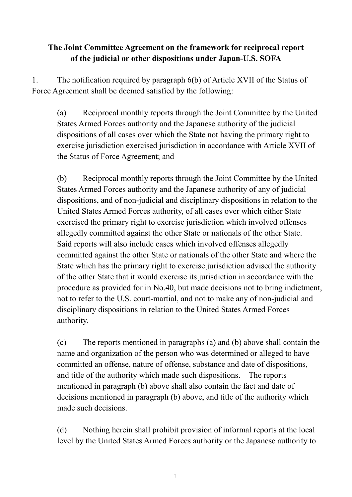## **The Joint Committee Agreement on the framework for reciprocal report of the judicial or other dispositions under Japan-U.S. SOFA**

1. The notification required by paragraph 6(b) of Article XVII of the Status of Force Agreement shall be deemed satisfied by the following:

(a) Reciprocal monthly reports through the Joint Committee by the United States Armed Forces authority and the Japanese authority of the judicial dispositions of all cases over which the State not having the primary right to exercise jurisdiction exercised jurisdiction in accordance with Article XVII of the Status of Force Agreement; and

(b) Reciprocal monthly reports through the Joint Committee by the United States Armed Forces authority and the Japanese authority of any of judicial dispositions, and of non-judicial and disciplinary dispositions in relation to the United States Armed Forces authority, of all cases over which either State exercised the primary right to exercise jurisdiction which involved offenses allegedly committed against the other State or nationals of the other State. Said reports will also include cases which involved offenses allegedly committed against the other State or nationals of the other State and where the State which has the primary right to exercise jurisdiction advised the authority of the other State that it would exercise its jurisdiction in accordance with the procedure as provided for in No.40, but made decisions not to bring indictment, not to refer to the U.S. court-martial, and not to make any of non-judicial and disciplinary dispositions in relation to the United States Armed Forces authority.

(c) The reports mentioned in paragraphs (a) and (b) above shall contain the name and organization of the person who was determined or alleged to have committed an offense, nature of offense, substance and date of dispositions, and title of the authority which made such dispositions. The reports mentioned in paragraph (b) above shall also contain the fact and date of decisions mentioned in paragraph (b) above, and title of the authority which made such decisions.

(d) Nothing herein shall prohibit provision of informal reports at the local level by the United States Armed Forces authority or the Japanese authority to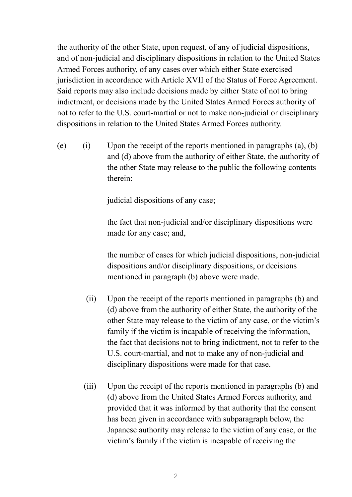the authority of the other State, upon request, of any of judicial dispositions, and of non-judicial and disciplinary dispositions in relation to the United States Armed Forces authority, of any cases over which either State exercised jurisdiction in accordance with Article XVII of the Status of Force Agreement. Said reports may also include decisions made by either State of not to bring indictment, or decisions made by the United States Armed Forces authority of not to refer to the U.S. court-martial or not to make non-judicial or disciplinary dispositions in relation to the United States Armed Forces authority.

(e) (i) Upon the receipt of the reports mentioned in paragraphs  $(a)$ ,  $(b)$ and (d) above from the authority of either State, the authority of the other State may release to the public the following contents therein:

judicial dispositions of any case;

 the fact that non-judicial and/or disciplinary dispositions were made for any case; and,

 the number of cases for which judicial dispositions, non-judicial dispositions and/or disciplinary dispositions, or decisions mentioned in paragraph (b) above were made.

- (ii) Upon the receipt of the reports mentioned in paragraphs (b) and (d) above from the authority of either State, the authority of the other State may release to the victim of any case, or the victim's family if the victim is incapable of receiving the information, the fact that decisions not to bring indictment, not to refer to the U.S. court-martial, and not to make any of non-judicial and disciplinary dispositions were made for that case.
- (iii) Upon the receipt of the reports mentioned in paragraphs (b) and (d) above from the United States Armed Forces authority, and provided that it was informed by that authority that the consent has been given in accordance with subparagraph below, the Japanese authority may release to the victim of any case, or the victim's family if the victim is incapable of receiving the